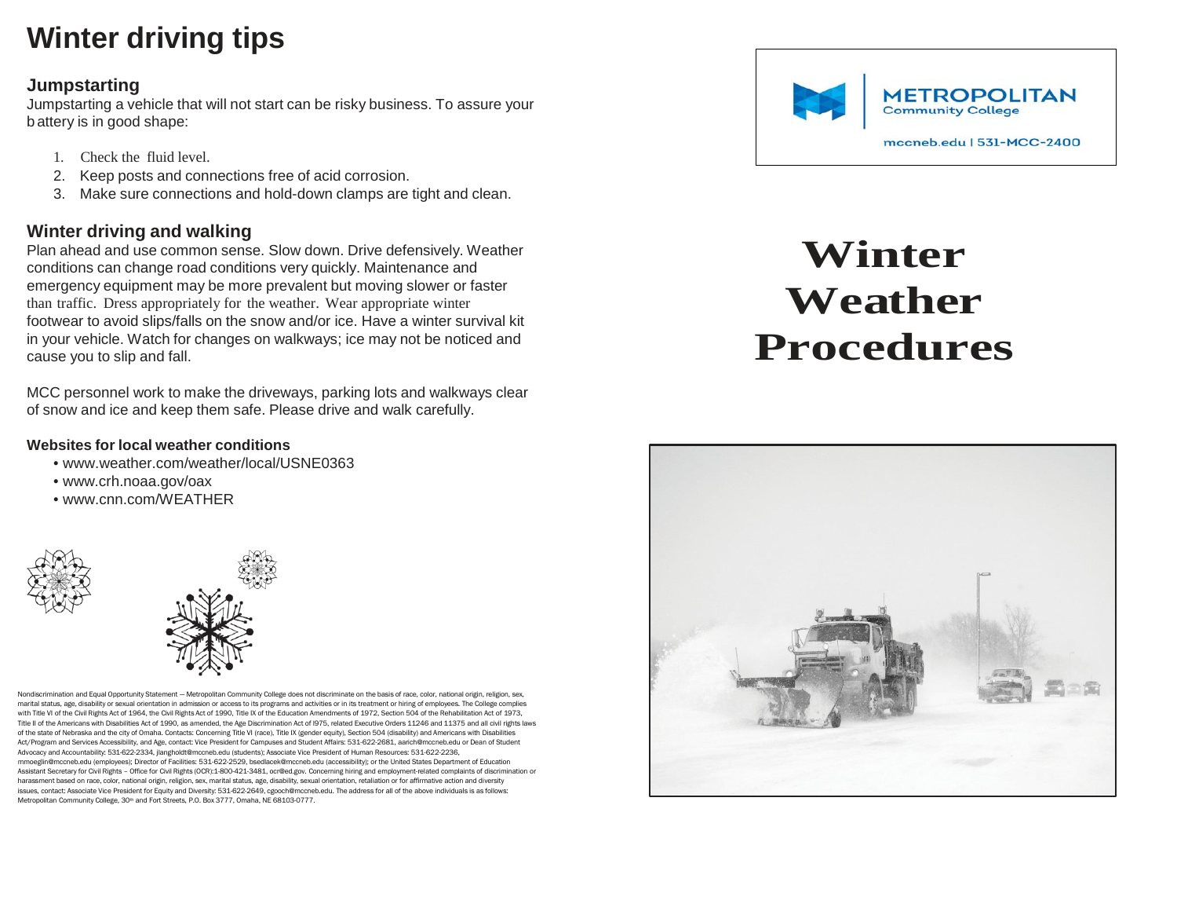## **Winter driving tips**

#### **Jumpstarting**

Jumpstarting a vehicle that will not start can be risky business. To assure your b attery is in good shape:

- 1. Check the fluid level.
- 2. Keep posts and connections free of acid corrosion.
- 3. Make sure connections and hold-down clamps are tight and clean.

### **Winter driving and walking**

Plan ahead and use common sense. Slow down. Drive defensively. Weather conditions can change road conditions very quickly. Maintenance and emergency equipment may be more prevalent but moving slower or faster than traffic. Dress appropriately for the weather. Wear appropriate winter footwear to avoid slips/falls on the snow and/or ice. Have a winter survival kit in your vehicle. Watch for changes on walkways; ice may not be noticed and cause you to slip and fall.

MCC personnel work to make the driveways, parking lots and walkways clear of snow and ice and keep them safe. Please drive and walk carefully.

#### **Websites for local weather conditions**

- [www.weather.com/weather/local/USNE0363](http://www.weather.com/weather/local/USNE0363)
- [www.crh.noaa.gov/oax](http://www.crh.noaa.gov/oax)
- [www.cnn.com/WEATHER](http://www.cnn.com/WEATHER)



Nondiscrimination and Equal Opportunity Statement — Metropolitan Community College does not discriminate on the basis of race, color, national origin, religion, sex, marital status, age, disability or sexual orientation in admission or access to its programs and activities or in its treatment or hiring of employees. The College complies with Title VI of the Civil Rights Act of 1964, the Civil Rights Act of 1990, Title IX of the Education Amendments of 1972, Section 504 of the Rehabilitation Act of 1973, Title II of the Americans with Disabilities Act of 1990, as amended, the Age Discrimination Act of l975, related Executive Orders 11246 and 11375 and all civil rights laws of the state of Nebraska and the city of Omaha. Contacts: Concerning Title VI (race), Title IX (gender equity), Section 504 (disability) and Americans with Disabilities Act/Program and Services Accessibility, and Age, contact: Vice President for Campuses and Student Affairs: 531-622-2681, [aarich@mccneb.edu](mailto:aarich@mccneb.edu) or Dean of Student Advocacy and Accountability: 531-622-2334, [jlangholdt@mccneb.edu](mailto:jlangholdt@mccneb.edu) (students); Associate Vice President of Human Resources: 531-622-2236, [mmoeglin@mccneb.edu](mailto:mmoeglin@mccneb.edu) (employees); Director of Facilities: 531-622-2529, [bsedlacek@mccneb.edu](mailto:bsedlacek@mccneb.edu) (accessibility); or the United States Department of Education Assistant Secretary for Civil Rights – Office for Civil Rights (OCR):1-800-421-3481, [ocr@ed.gov.](mailto:ocr@ed.gov) Concerning hiring and employment-related complaints of discrimination or harassment based on race, color, national origin, religion, sex, marital status, age, disability, sexual orientation, retaliation or for affirmative action and diversity issues, contact: Associate Vice President for Equity and Diversity: 531-622-2649, [cgooch@mccneb.edu.](mailto:cgooch@mccneb.edu) The address for all of the above individuals is as follows: Metropolitan Community College, 30<sup>th</sup> and Fort Streets, P.O. Box 3777, Omaha, NE 68103-0777.



# **Winter Weather Procedures**